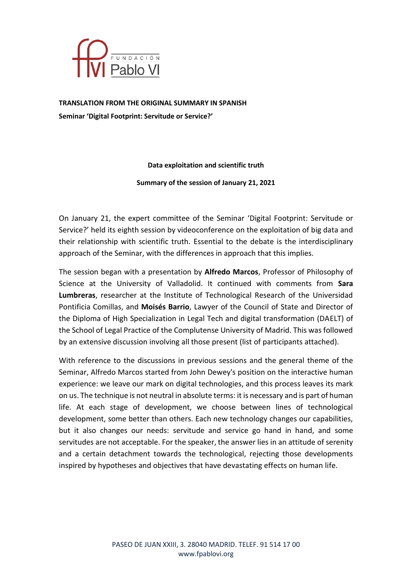

**TRANSLATION FROM THE ORIGINAL SUMMARY IN SPANISH Seminar 'Digital Footprint: Servitude or Service?'**

### **Data exploitation and scientific truth**

#### **Summary of the session of January 21, 2021**

On January 21, the expert committee of the Seminar 'Digital Footprint: Servitude or Service?' held its eighth session by videoconference on the exploitation of big data and their relationship with scientific truth. Essential to the debate is the interdisciplinary approach of the Seminar, with the differences in approach that this implies.

The session began with a presentation by **Alfredo Marcos**, Professor of Philosophy of Science at the University of Valladolid. It continued with comments from **Sara Lumbreras**, researcher at the Institute of Technological Research of the Universidad Pontificia Comillas, and **Moisés Barrio**, Lawyer of the Council of State and Director of the Diploma of High Specialization in Legal Tech and digital transformation (DAELT) of the School of Legal Practice of the Complutense University of Madrid. This was followed by an extensive discussion involving all those present (list of participants attached).

With reference to the discussions in previous sessions and the general theme of the Seminar, Alfredo Marcos started from John Dewey's position on the interactive human experience: we leave our mark on digital technologies, and this process leaves its mark on us. The technique is not neutral in absolute terms: it is necessary and is part of human life. At each stage of development, we choose between lines of technological development, some better than others. Each new technology changes our capabilities, but it also changes our needs: servitude and service go hand in hand, and some servitudes are not acceptable. For the speaker, the answer lies in an attitude of serenity and a certain detachment towards the technological, rejecting those developments inspired by hypotheses and objectives that have devastating effects on human life.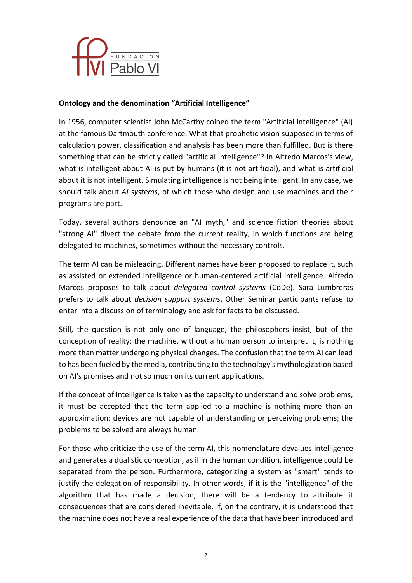

# **Ontology and the denomination "Artificial Intelligence"**

In 1956, computer scientist John McCarthy coined the term "Artificial Intelligence" (AI) at the famous Dartmouth conference. What that prophetic vision supposed in terms of calculation power, classification and analysis has been more than fulfilled. But is there something that can be strictly called "artificial intelligence"? In Alfredo Marcos's view, what is intelligent about AI is put by humans (it is not artificial), and what is artificial about it is not intelligent. Simulating intelligence is not being intelligent. In any case, we should talk about *AI systems*, of which those who design and use machines and their programs are part.

Today, several authors denounce an "AI myth," and science fiction theories about "strong AI" divert the debate from the current reality, in which functions are being delegated to machines, sometimes without the necessary controls.

The term AI can be misleading. Different names have been proposed to replace it, such as assisted or extended intelligence or human-centered artificial intelligence. Alfredo Marcos proposes to talk about *delegated control systems* (CoDe). Sara Lumbreras prefers to talk about *decision support systems*. Other Seminar participants refuse to enter into a discussion of terminology and ask for facts to be discussed.

Still, the question is not only one of language, the philosophers insist, but of the conception of reality: the machine, without a human person to interpret it, is nothing more than matter undergoing physical changes. The confusion that the term AI can lead to has been fueled by the media, contributing to the technology's mythologization based on AI's promises and not so much on its current applications.

If the concept of intelligence is taken as the capacity to understand and solve problems, it must be accepted that the term applied to a machine is nothing more than an approximation: devices are not capable of understanding or perceiving problems; the problems to be solved are always human.

For those who criticize the use of the term AI, this nomenclature devalues intelligence and generates a dualistic conception, as if in the human condition, intelligence could be separated from the person. Furthermore, categorizing a system as "smart" tends to justify the delegation of responsibility. In other words, if it is the "intelligence" of the algorithm that has made a decision, there will be a tendency to attribute it consequences that are considered inevitable. If, on the contrary, it is understood that the machine does not have a real experience of the data that have been introduced and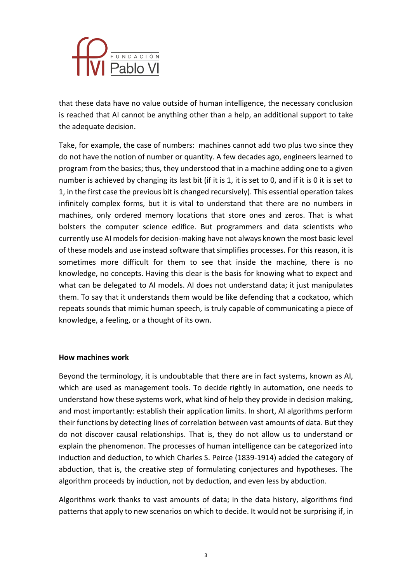

that these data have no value outside of human intelligence, the necessary conclusion is reached that AI cannot be anything other than a help, an additional support to take the adequate decision.

Take, for example, the case of numbers: machines cannot add two plus two since they do not have the notion of number or quantity. A few decades ago, engineers learned to program from the basics; thus, they understood that in a machine adding one to a given number is achieved by changing its last bit (if it is 1, it is set to 0, and if it is 0 it is set to 1, in the first case the previous bit is changed recursively). This essential operation takes infinitely complex forms, but it is vital to understand that there are no numbers in machines, only ordered memory locations that store ones and zeros. That is what bolsters the computer science edifice. But programmers and data scientists who currently use AI models for decision-making have not always known the most basic level of these models and use instead software that simplifies processes. For this reason, it is sometimes more difficult for them to see that inside the machine, there is no knowledge, no concepts. Having this clear is the basis for knowing what to expect and what can be delegated to AI models. AI does not understand data; it just manipulates them. To say that it understands them would be like defending that a cockatoo, which repeats sounds that mimic human speech, is truly capable of communicating a piece of knowledge, a feeling, or a thought of its own.

### **How machines work**

Beyond the terminology, it is undoubtable that there are in fact systems, known as AI, which are used as management tools. To decide rightly in automation, one needs to understand how these systems work, what kind of help they provide in decision making, and most importantly: establish their application limits. In short, AI algorithms perform their functions by detecting lines of correlation between vast amounts of data. But they do not discover causal relationships. That is, they do not allow us to understand or explain the phenomenon. The processes of human intelligence can be categorized into induction and deduction, to which Charles S. Peirce (1839-1914) added the category of abduction, that is, the creative step of formulating conjectures and hypotheses. The algorithm proceeds by induction, not by deduction, and even less by abduction.

Algorithms work thanks to vast amounts of data; in the data history, algorithms find patterns that apply to new scenarios on which to decide. It would not be surprising if, in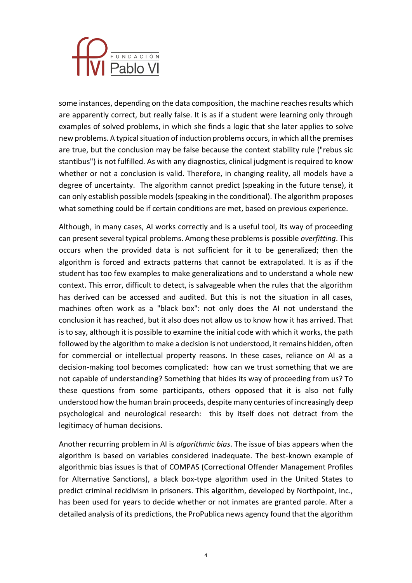

some instances, depending on the data composition, the machine reaches results which are apparently correct, but really false. It is as if a student were learning only through examples of solved problems, in which she finds a logic that she later applies to solve new problems. A typical situation of induction problems occurs, in which all the premises are true, but the conclusion may be false because the context stability rule ("rebus sic stantibus") is not fulfilled. As with any diagnostics, clinical judgment is required to know whether or not a conclusion is valid. Therefore, in changing reality, all models have a degree of uncertainty. The algorithm cannot predict (speaking in the future tense), it can only establish possible models (speaking in the conditional). The algorithm proposes what something could be if certain conditions are met, based on previous experience.

Although, in many cases, AI works correctly and is a useful tool, its way of proceeding can present several typical problems. Among these problems is possible *overfitting*. This occurs when the provided data is not sufficient for it to be generalized; then the algorithm is forced and extracts patterns that cannot be extrapolated. It is as if the student has too few examples to make generalizations and to understand a whole new context. This error, difficult to detect, is salvageable when the rules that the algorithm has derived can be accessed and audited. But this is not the situation in all cases, machines often work as a "black box": not only does the AI not understand the conclusion it has reached, but it also does not allow us to know how it has arrived. That is to say, although it is possible to examine the initial code with which it works, the path followed by the algorithm to make a decision is not understood, it remains hidden, often for commercial or intellectual property reasons. In these cases, reliance on AI as a decision-making tool becomes complicated: how can we trust something that we are not capable of understanding? Something that hides its way of proceeding from us? To these questions from some participants, others opposed that it is also not fully understood how the human brain proceeds, despite many centuries of increasingly deep psychological and neurological research: this by itself does not detract from the legitimacy of human decisions.

Another recurring problem in AI is *algorithmic bias*. The issue of bias appears when the algorithm is based on variables considered inadequate. The best-known example of algorithmic bias issues is that of COMPAS (Correctional Offender Management Profiles for Alternative Sanctions), a black box-type algorithm used in the United States to predict criminal recidivism in prisoners. This algorithm, developed by Northpoint, Inc., has been used for years to decide whether or not inmates are granted parole. After a detailed analysis of its predictions, the ProPublica news agency found that the algorithm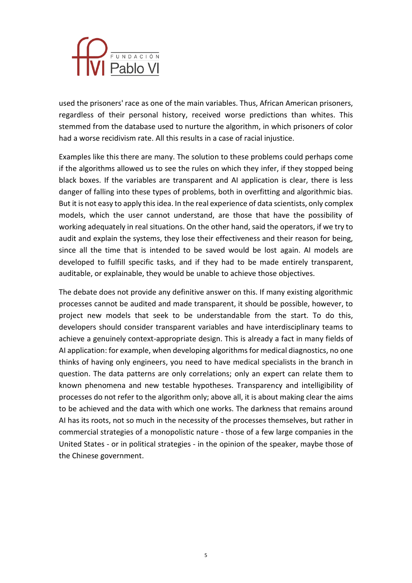

used the prisoners' race as one of the main variables. Thus, African American prisoners, regardless of their personal history, received worse predictions than whites. This stemmed from the database used to nurture the algorithm, in which prisoners of color had a worse recidivism rate. All this results in a case of racial injustice.

Examples like this there are many. The solution to these problems could perhaps come if the algorithms allowed us to see the rules on which they infer, if they stopped being black boxes. If the variables are transparent and AI application is clear, there is less danger of falling into these types of problems, both in overfitting and algorithmic bias. But it is not easy to apply this idea. In the real experience of data scientists, only complex models, which the user cannot understand, are those that have the possibility of working adequately in real situations. On the other hand, said the operators, if we try to audit and explain the systems, they lose their effectiveness and their reason for being, since all the time that is intended to be saved would be lost again. AI models are developed to fulfill specific tasks, and if they had to be made entirely transparent, auditable, or explainable, they would be unable to achieve those objectives.

The debate does not provide any definitive answer on this. If many existing algorithmic processes cannot be audited and made transparent, it should be possible, however, to project new models that seek to be understandable from the start. To do this, developers should consider transparent variables and have interdisciplinary teams to achieve a genuinely context-appropriate design. This is already a fact in many fields of AI application: for example, when developing algorithms for medical diagnostics, no one thinks of having only engineers, you need to have medical specialists in the branch in question. The data patterns are only correlations; only an expert can relate them to known phenomena and new testable hypotheses. Transparency and intelligibility of processes do not refer to the algorithm only; above all, it is about making clear the aims to be achieved and the data with which one works. The darkness that remains around AI has its roots, not so much in the necessity of the processes themselves, but rather in commercial strategies of a monopolistic nature - those of a few large companies in the United States - or in political strategies - in the opinion of the speaker, maybe those of the Chinese government.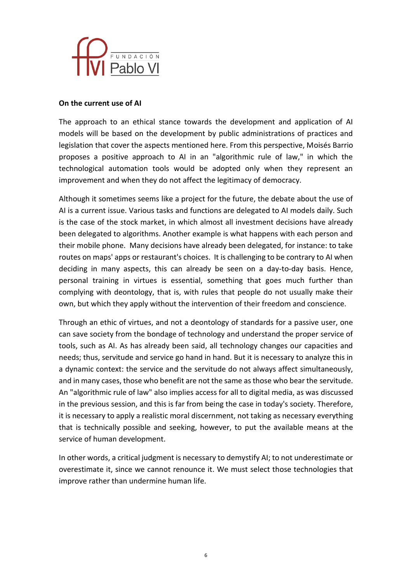

## **On the current use of AI**

The approach to an ethical stance towards the development and application of AI models will be based on the development by public administrations of practices and legislation that cover the aspects mentioned here. From this perspective, Moisés Barrio proposes a positive approach to AI in an "algorithmic rule of law," in which the technological automation tools would be adopted only when they represent an improvement and when they do not affect the legitimacy of democracy.

Although it sometimes seems like a project for the future, the debate about the use of AI is a current issue. Various tasks and functions are delegated to AI models daily. Such is the case of the stock market, in which almost all investment decisions have already been delegated to algorithms. Another example is what happens with each person and their mobile phone. Many decisions have already been delegated, for instance: to take routes on maps' apps or restaurant's choices. It is challenging to be contrary to AI when deciding in many aspects, this can already be seen on a day-to-day basis. Hence, personal training in virtues is essential, something that goes much further than complying with deontology, that is, with rules that people do not usually make their own, but which they apply without the intervention of their freedom and conscience.

Through an ethic of virtues, and not a deontology of standards for a passive user, one can save society from the bondage of technology and understand the proper service of tools, such as AI. As has already been said, all technology changes our capacities and needs; thus, servitude and service go hand in hand. But it is necessary to analyze this in a dynamic context: the service and the servitude do not always affect simultaneously, and in many cases, those who benefit are not the same as those who bear the servitude. An "algorithmic rule of law" also implies access for all to digital media, as was discussed in the previous session, and this is far from being the case in today's society. Therefore, it is necessary to apply a realistic moral discernment, not taking as necessary everything that is technically possible and seeking, however, to put the available means at the service of human development.

In other words, a critical judgment is necessary to demystify AI; to not underestimate or overestimate it, since we cannot renounce it. We must select those technologies that improve rather than undermine human life.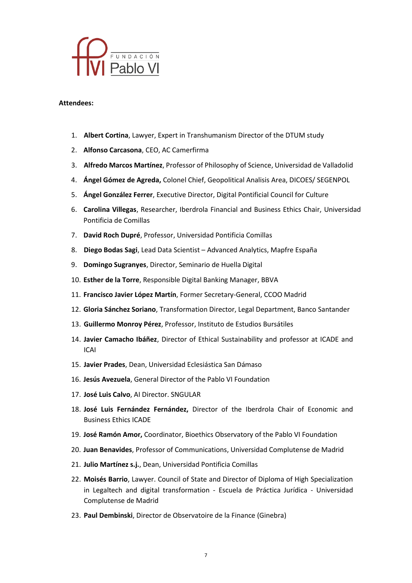

#### **Attendees:**

- 1. **Albert Cortina**, Lawyer, Expert in Transhumanism Director of the DTUM study
- 2. **Alfonso Carcasona**, CEO, AC Camerfirma
- 3. **Alfredo Marcos Martínez**, Professor of Philosophy of Science, Universidad de Valladolid
- 4. **Ángel Gómez de Agreda,** Colonel Chief, Geopolitical Analisis Area, DICOES/ SEGENPOL
- 5. **Ángel González Ferrer**, Executive Director, Digital Pontificial Council for Culture
- 6. **Carolina Villegas**, Researcher, Iberdrola Financial and Business Ethics Chair, Universidad Pontificia de Comillas
- 7. **David Roch Dupré**, Professor, Universidad Pontificia Comillas
- 8. **Diego Bodas Sagi**, Lead Data Scientist Advanced Analytics, Mapfre España
- 9. **Domingo Sugranyes**, Director, Seminario de Huella Digital
- 10. **Esther de la Torre**, Responsible Digital Banking Manager, BBVA
- 11. **Francisco Javier López Martín**, Former Secretary-General, CCOO Madrid
- 12. **Gloria Sánchez Soriano**, Transformation Director, Legal Department, Banco Santander
- 13. **Guillermo Monroy Pérez**, Professor, Instituto de Estudios Bursátiles
- 14. **Javier Camacho Ibáñez**, Director of Ethical Sustainability and professor at ICADE and ICAI
- 15. **Javier Prades**, Dean, Universidad Eclesiástica San Dámaso
- 16. **Jesús Avezuela**, General Director of the Pablo VI Foundation
- 17. **José Luis Calvo**, AI Director. SNGULAR
- 18. **José Luis Fernández Fernández,** Director of the Iberdrola Chair of Economic and Business Ethics ICADE
- 19. **José Ramón Amor,** Coordinator, Bioethics Observatory of the Pablo VI Foundation
- 20. **Juan Benavides**, Professor of Communications, Universidad Complutense de Madrid
- 21. **Julio Martínez s.j.**, Dean, Universidad Pontificia Comillas
- 22. **Moisés Barrio**, Lawyer. Council of State and Director of Diploma of High Specialization in Legaltech and digital transformation - Escuela de Práctica Jurídica - Universidad Complutense de Madrid
- 23. **Paul Dembinski**, Director de Observatoire de la Finance (Ginebra)